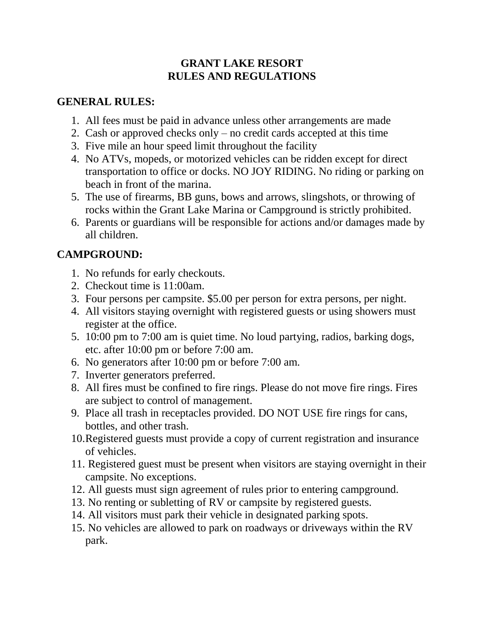#### **GRANT LAKE RESORT RULES AND REGULATIONS**

#### **GENERAL RULES:**

- 1. All fees must be paid in advance unless other arrangements are made
- 2. Cash or approved checks only no credit cards accepted at this time
- 3. Five mile an hour speed limit throughout the facility
- 4. No ATVs, mopeds, or motorized vehicles can be ridden except for direct transportation to office or docks. NO JOY RIDING. No riding or parking on beach in front of the marina.
- 5. The use of firearms, BB guns, bows and arrows, slingshots, or throwing of rocks within the Grant Lake Marina or Campground is strictly prohibited.
- 6. Parents or guardians will be responsible for actions and/or damages made by all children.

#### **CAMPGROUND:**

- 1. No refunds for early checkouts.
- 2. Checkout time is 11:00am.
- 3. Four persons per campsite. \$5.00 per person for extra persons, per night.
- 4. All visitors staying overnight with registered guests or using showers must register at the office.
- 5. 10:00 pm to 7:00 am is quiet time. No loud partying, radios, barking dogs, etc. after 10:00 pm or before 7:00 am.
- 6. No generators after 10:00 pm or before 7:00 am.
- 7. Inverter generators preferred.
- 8. All fires must be confined to fire rings. Please do not move fire rings. Fires are subject to control of management.
- 9. Place all trash in receptacles provided. DO NOT USE fire rings for cans, bottles, and other trash.
- 10.Registered guests must provide a copy of current registration and insurance of vehicles.
- 11. Registered guest must be present when visitors are staying overnight in their campsite. No exceptions.
- 12. All guests must sign agreement of rules prior to entering campground.
- 13. No renting or subletting of RV or campsite by registered guests.
- 14. All visitors must park their vehicle in designated parking spots.
- 15. No vehicles are allowed to park on roadways or driveways within the RV park.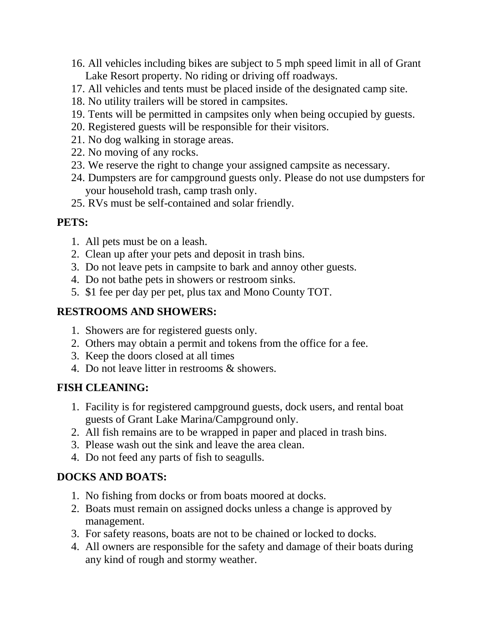- 16. All vehicles including bikes are subject to 5 mph speed limit in all of Grant Lake Resort property. No riding or driving off roadways.
- 17. All vehicles and tents must be placed inside of the designated camp site.
- 18. No utility trailers will be stored in campsites.
- 19. Tents will be permitted in campsites only when being occupied by guests.
- 20. Registered guests will be responsible for their visitors.
- 21. No dog walking in storage areas.
- 22. No moving of any rocks.
- 23. We reserve the right to change your assigned campsite as necessary.
- 24. Dumpsters are for campground guests only. Please do not use dumpsters for your household trash, camp trash only.
- 25. RVs must be self-contained and solar friendly.

### **PETS:**

- 1. All pets must be on a leash.
- 2. Clean up after your pets and deposit in trash bins.
- 3. Do not leave pets in campsite to bark and annoy other guests.
- 4. Do not bathe pets in showers or restroom sinks.
- 5. \$1 fee per day per pet, plus tax and Mono County TOT.

### **RESTROOMS AND SHOWERS:**

- 1. Showers are for registered guests only.
- 2. Others may obtain a permit and tokens from the office for a fee.
- 3. Keep the doors closed at all times
- 4. Do not leave litter in restrooms & showers.

## **FISH CLEANING:**

- 1. Facility is for registered campground guests, dock users, and rental boat guests of Grant Lake Marina/Campground only.
- 2. All fish remains are to be wrapped in paper and placed in trash bins.
- 3. Please wash out the sink and leave the area clean.
- 4. Do not feed any parts of fish to seagulls.

## **DOCKS AND BOATS:**

- 1. No fishing from docks or from boats moored at docks.
- 2. Boats must remain on assigned docks unless a change is approved by management.
- 3. For safety reasons, boats are not to be chained or locked to docks.
- 4. All owners are responsible for the safety and damage of their boats during any kind of rough and stormy weather.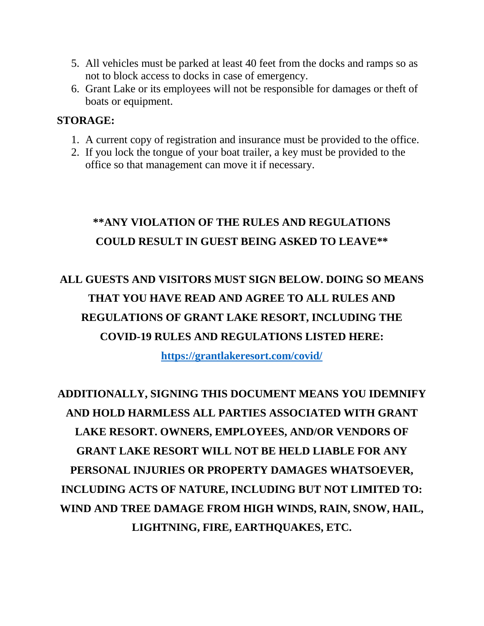- 5. All vehicles must be parked at least 40 feet from the docks and ramps so as not to block access to docks in case of emergency.
- 6. Grant Lake or its employees will not be responsible for damages or theft of boats or equipment.

#### **STORAGE:**

- 1. A current copy of registration and insurance must be provided to the office.
- 2. If you lock the tongue of your boat trailer, a key must be provided to the office so that management can move it if necessary.

# **\*\*ANY VIOLATION OF THE RULES AND REGULATIONS COULD RESULT IN GUEST BEING ASKED TO LEAVE\*\***

# **ALL GUESTS AND VISITORS MUST SIGN BELOW. DOING SO MEANS THAT YOU HAVE READ AND AGREE TO ALL RULES AND REGULATIONS OF GRANT LAKE RESORT, INCLUDING THE COVID-19 RULES AND REGULATIONS LISTED HERE:**

**[https://grantlakeresort.com/covid/](https://grantlakeresort.com/COVID/)**

# **ADDITIONALLY, SIGNING THIS DOCUMENT MEANS YOU IDEMNIFY AND HOLD HARMLESS ALL PARTIES ASSOCIATED WITH GRANT LAKE RESORT. OWNERS, EMPLOYEES, AND/OR VENDORS OF GRANT LAKE RESORT WILL NOT BE HELD LIABLE FOR ANY PERSONAL INJURIES OR PROPERTY DAMAGES WHATSOEVER, INCLUDING ACTS OF NATURE, INCLUDING BUT NOT LIMITED TO: WIND AND TREE DAMAGE FROM HIGH WINDS, RAIN, SNOW, HAIL, LIGHTNING, FIRE, EARTHQUAKES, ETC.**